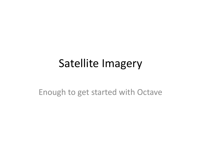### Satellite Imagery

Enough to get started with Octave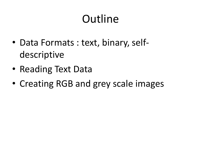# **Outline**

- Data Formats : text, binary, selfdescriptive
- Reading Text Data
- Creating RGB and grey scale images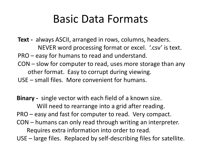### Basic Data Formats

**Text -** always ASCII, arranged in rows, columns, headers. NEVER word processing format or excel. '.csv' is text. PRO – easy for humans to read and understand. CON – slow for computer to read, uses more storage than any other format. Easy to corrupt during viewing. USE – small files. More convenient for humans.

**Binary -** single vector with each field of a known size. Will need to rearrange into a grid after reading. PRO – easy and fast for computer to read. Very compact. CON – humans can only read through writing an interpreter. Requires extra information into order to read. USE – large files. Replaced by self-describing files for satellite.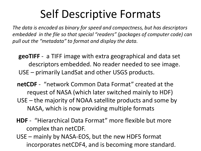## Self Descriptive Formats

*The data is encoded as binary for speed and compactness, but has descriptors embedded in the file so that special "readers" (packages of computer code) can pull out the "metadata" to format and display the data.*

- **geoTIFF** a TIFF image with extra geographical and data set descriptors embedded. No reader needed to see image. USE – primarily LandSat and other USGS products.
- **netCDF** "network Common Data Format" created at the request of NASA (which later switched mainly to HDF) USE – the majority of NOAA satellite products and some by NASA, which is now providing multiple formats
- **HDF** "Hierarchical Data Format" more flexible but more complex than netCDF.
- USE mainly by NASA-EOS, but the new HDF5 format incorporates netCDF4, and is becoming more standard.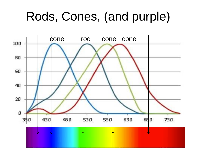# Rods, Cones, (and purple)

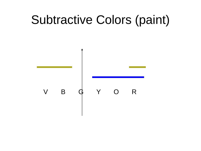# Subtractive Colors (paint)

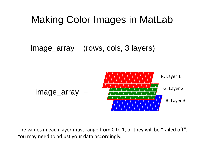#### Making Color Images in MatLab

Image\_array = (rows, cols, 3 layers)



The values in each layer must range from 0 to 1, or they will be "railed off". You may need to adjust your data accordingly.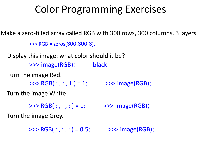#### Color Programming Exercises

Make a zero-filled array called RGB with 300 rows, 300 columns, 3 layers. Display this image: what color should it be? Turn the image Red. Turn the image White. Turn the image Grey. >>> RGB = zeros(300,300,3); >>> image(RGB); black  $\Rightarrow$  > RGB(:,:, 1) = 1;  $\Rightarrow$  > image(RGB);  $\Rightarrow$  > RGB(:,:,:) = 1;  $\Rightarrow$  > > image(RGB);  $\Rightarrow$  > RGB(:,:,:) = 0.5;  $\Rightarrow$  > image(RGB);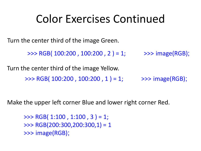### Color Exercises Continued

Turn the center third of the image Green.

 $\Rightarrow$  RGB( 100:200, 100:200, 2 ) = 1;  $\Rightarrow$  >>> image(RGB);

Turn the center third of the image Yellow. >>> RGB(  $100:200$  ,  $100:200$  ,  $1$  ) = 1; >>> image(RGB);

Make the upper left corner Blue and lower right corner Red.

 $\Rightarrow$  RGB( 1:100, 1:100, 3) = 1; >>> RGB(200:300,200:300,1) = 1 >>> image(RGB);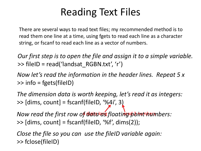### Reading Text Files

There are several ways to read text files; my recommended method is to read them one line at a time, using fgets to read each line as a character string, or fscanf to read each line as a vector of numbers.

*Our first step is to open the file and assign it to a simple variable.*  $\Rightarrow$  fileID = read('landsat RGBN.txt', 'r')

*Now let's read the information in the header lines. Repeat 5 x* >> info = fgets(fileID)

*The dimension data is worth keeping, let's read it as integers:*  $\gg$  [dims, count] = fscanf(fileID, '%4i', 3)

*Now read the first row of data as floating point nembers:*  $\Rightarrow$  [dims, count] = fscanf(fileID, '%f', dims(2));

*Close the file so you can use the fileID variable again:* >> fclose(fileID)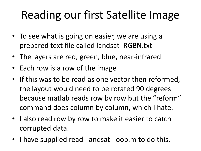# Reading our first Satellite Image

- To see what is going on easier, we are using a prepared text file called landsat\_RGBN.txt
- The layers are red, green, blue, near-infrared
- Each row is a row of the image
- If this was to be read as one vector then reformed, the layout would need to be rotated 90 degrees because matlab reads row by row but the "reform" command does column by column, which I hate.
- I also read row by row to make it easier to catch corrupted data.
- I have supplied read landsat loop.m to do this.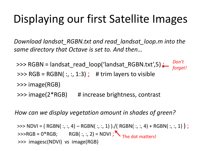## Displaying our first Satellite Images

*Download landsat\_RGBN.txt and read\_landsat\_loop.m into the same directory that Octave is set to. And then…*

 $\Rightarrow$  RGBN = landsat\_read\_loop('landsat\_RGBN.txt',5) ;  $\Rightarrow$  RGB = RGBN(:,:, 1:3); # trim layers to visible >>> image(RGB) >>> image(2\*RGB) # increase brightness, contrast *Don't forget!*

*How can we display vegetation amount in shades of green?*

>>> NDVI = ( RGBN( :, :, 4) – RGBN( :, :, 1) )./( RGBN( :, :, 4) + RGBN( :, :, 1) ) ;  $\Rightarrow$  RGB = 0\*RGB; RGB(:, :, 2) = NDVI; The dot matters! >>> imagesc(NDVI) vs image(RGB)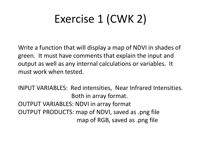# Exercise 1 (CWK 2)

Write a function that will display a map of NDVI in shades of green. It must have comments that explain the input and output as well as any internal calculations or variables. It must work when tested.

INPUT VARIABLES: Red intensities, Near Infrared Intensities. Both in array format. OUTPUT VARIABLES: NDVI in array format OUTPUT PRODUCTS: map of NDVI, saved as .png file map of RGB, saved as .png file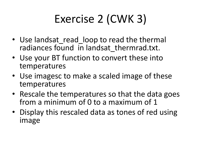# Exercise 2 (CWK 3)

- Use landsat\_read\_loop to read the thermal radiances found in landsat thermrad.txt.
- Use your BT function to convert these into temperatures
- Use imagesc to make a scaled image of these temperatures
- Rescale the temperatures so that the data goes from a minimum of 0 to a maximum of 1
- Display this rescaled data as tones of red using image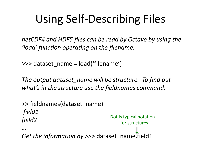# Using Self-Describing Files

*netCDF4 and HDF5 files can be read by Octave by using the 'load' function operating on the filename.*

>>> dataset\_name = load('filename')

*The output dataset\_name will be structure. To find out what's in the structure use the fieldnames command:*

>> fieldnames(dataset\_name) *field1 field2 …. Get the information by* >>> dataset\_name.field1 Dot is typical notation for structures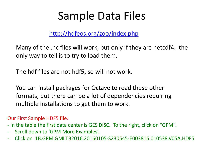### Sample Data Files

<http://hdfeos.org/zoo/index.php>

Many of the .nc files will work, but only if they are netcdf4. the only way to tell is to try to load them.

The hdf files are not hdf5, so will not work.

You can install packages for Octave to read these other formats, but there can be a lot of dependencies requiring multiple installations to get them to work.

Our First Sample HDF5 file:

- In the table the first data center is GES DISC. To the right, click on "GPM".

- Scroll down to 'GPM More Examples'.
- Click on 1B.GPM.GMI.TB2016.20160105-S230545-E003816.010538.V05A.HDF5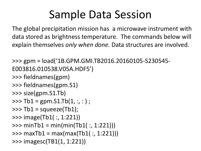## Sample Data Session

The global precipitation mission has a microwave instrument with data stored as brightness temperature. The commands below will explain themselves *only when done.* Data structures are involved.

>>> gpm = load('1B.GPM.GMI.TB2016.20160105-S230545- E003816.010538.V05A.HDF5') >>> fieldnames(gpm) >>> fieldnames(gpm.S1) >>> size(gpm.S1.Tb)  $\Rightarrow$  >>> Tb1 = gpm.S1.Tb(1, :, : ) ;  $\Rightarrow$   $\gt$  Tb1 = squeeze(Tb1); >>> image(Tb1( :, 1:221))  $\gg$  minTb1 = min(min(Tb1(:, 1:221)))  $\gg$  maxTb1 = max(max(Tb1(:, 1:221))) >>> imagesc(TB1(1, 1:221))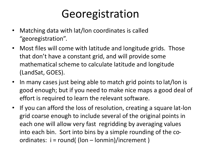## Georegistration

- Matching data with lat/lon coordinates is called "georegistration".
- Most files will come with latitude and longitude grids. Those that don't have a constant grid, and will provide some mathematical scheme to calculate latitude and longitude (LandSat, GOES).
- In many cases just being able to match grid points to lat/lon is good enough; but if you need to make nice maps a good deal of effort is required to learn the relevant software.
- If you can afford the loss of resolution, creating a square lat-lon grid coarse enough to include several of the original points in each one will allow very fast regridding by averaging values into each bin. Sort into bins by a simple rounding of the coordinates: i = round( (lon – lonmin)/increment )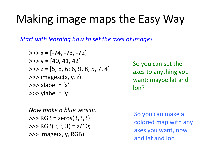## Making image maps the Easy Way

*Start with learning how to set the axes of images:*

$$
>> x = [-74, -73, -72]
$$
  
\n
$$
>> y = [40, 41, 42]
$$
  
\n
$$
>> z = [5, 8, 6; 6, 9, 8; 5, 7, 4]
$$
  
\n
$$
>> \text{imagesc}(x, y, z)
$$
  
\n
$$
>> \text{xlabel} = 'x'
$$
  
\n
$$
>> \text{ylabel} = 'y'
$$

So you can set the axes to anything you want: maybe lat and lon?

*Now make a blue version* >>> RGB = zeros(3,3,3)  $\Rightarrow$  RGB(:, :, 3) = z/10; >>> image(x, y, RGB)

So you can make a colored map with any axes you want, now add lat and lon?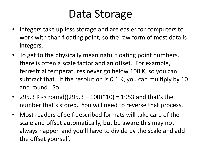## Data Storage

- Integers take up less storage and are easier for computers to work with than floating point, so the raw form of most data is integers.
- To get to the physically meaningful floating point numbers, there is often a scale factor and an offset. For example, terrestrial temperatures never go below 100 K, so you can subtract that. If the resolution is 0.1 K, you can multiply by 10 and round. So
- 295.3 K -> round( $(295.3 100)*10$ ) = 1953 and that's the number that's stored. You will need to reverse that process.
- Most readers of self described formats will take care of the scale and offset automatically, but be aware this may not always happen and you'll have to divide by the scale and add the offset yourself.